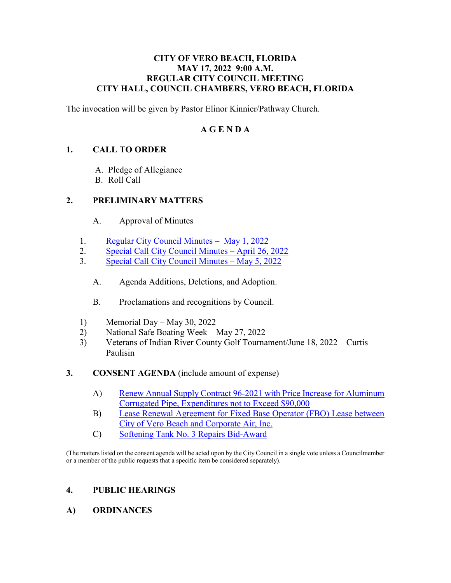#### **CITY OF VERO BEACH, FLORIDA MAY 17, 2022 9:00 A.M. REGULAR CITY COUNCIL MEETING CITY HALL, COUNCIL CHAMBERS, VERO BEACH, FLORIDA**

The invocation will be given by Pastor Elinor Kinnier/Pathway Church.

## **A G E N D A**

## **1. CALL TO ORDER**

- A. Pledge of Allegiance
- B. Roll Call

### **2. PRELIMINARY MATTERS**

- A. Approval of Minutes
- 1. [Regular City Council Minutes May 1, 2022](https://www.covb.org/DocumentCenter/View/5953/2A-1)
- 2. [Special Call City Council Minutes April 26, 2022](https://www.covb.org/DocumentCenter/View/5954/2A-2)
- 3. [Special Call City Council Minutes May 5, 2022](https://www.covb.org/DocumentCenter/View/5955/2A-3) 
	- A. Agenda Additions, Deletions, and Adoption.
	- B. Proclamations and recognitions by Council.
- 1) Memorial Day May 30, 2022
- 2) National Safe Boating Week May 27, 2022
- 3) Veterans of Indian River County Golf Tournament/June 18, 2022 Curtis Paulisin
- **3. CONSENT AGENDA** (include amount of expense)
	- [A\) Renew Annual Supply Contract 96-2021 with Price Increase for Aluminum](https://www.covb.org/DocumentCenter/View/5956/3-A)  [Corrugated Pipe, Expenditures not to Exceed \\$90,000](https://www.covb.org/DocumentCenter/View/5956/3-A)
	- [B\) Lease Renewal Agreement for Fixed Base Operator \(FBO\) Lease between](https://www.covb.org/DocumentCenter/View/5957/3-B)  [City of Vero Beach and Corporate Air, Inc.](https://www.covb.org/DocumentCenter/View/5957/3-B)
	- C) [Softening Tank No. 3 Repairs Bid-Award](https://www.covb.org/DocumentCenter/View/5958/3-C)

(The matters listed on the consent agenda will be acted upon by the City Council in a single vote unless a Councilmember or a member of the public requests that a specific item be considered separately).

### **4. PUBLIC HEARINGS**

**A) ORDINANCES**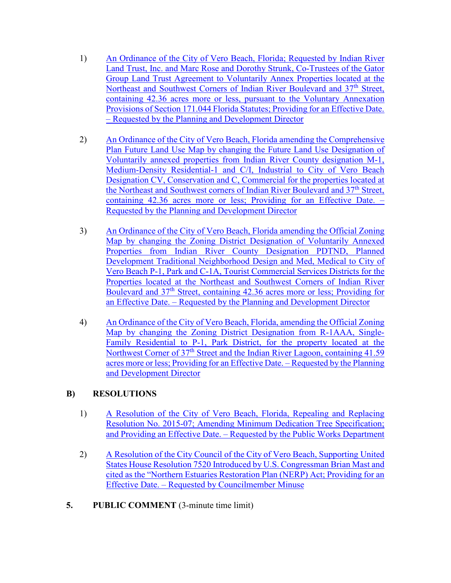- Group Land Trust Agreement to Voluntarily Annex Properties located at the [1\) An Ordinance of the City of Vero Beach, Florida; Requested by Indian River](https://www.covb.org/DocumentCenter/View/5959/4A-1)  [Land Trust, Inc. and Marc Rose and Dorothy Strunk, Co-Trustees of the Gator](https://www.covb.org/DocumentCenter/View/5959/4A-1)  [Northeast and Southwest Corners of Indian River Boulevard and 37](https://www.covb.org/DocumentCenter/View/5959/4A-1)<sup>th</sup> Street, [containing 42.36 acres more or less, pursuant to the Voluntary Annexation](https://www.covb.org/DocumentCenter/View/5959/4A-1)  [Provisions of Section 171.044 Florida Statutes; Providing for an Effective Date.](https://www.covb.org/DocumentCenter/View/5959/4A-1)  [– Requested by the Planning and Development Director](https://www.covb.org/DocumentCenter/View/5959/4A-1)
- Plan Future Land Use Map by changing the Future Land Use Designation of [2\) An Ordinance of the City of Vero Beach, Florida amending the Comprehensive](https://www.covb.org/DocumentCenter/View/5960/4A-2)  [Voluntarily annexed properties from Indian River County designation M-1,](https://www.covb.org/DocumentCenter/View/5960/4A-2)  [Medium-Density Residential-1 and C/I, Industrial to City of Vero Beach](https://www.covb.org/DocumentCenter/View/5960/4A-2)  [Designation CV, Conservation and C, Commercial for the properties located at](https://www.covb.org/DocumentCenter/View/5960/4A-2)  the Northeast and Southwest corners of Indian River Boulevard and 37<sup>th</sup> Street, [containing 42.36 acres more or less; Providing for an Effective Date. –](https://www.covb.org/DocumentCenter/View/5960/4A-2)  [Requested by the Planning and Development Director](https://www.covb.org/DocumentCenter/View/5960/4A-2)
- 3) An Ordinance of the City of Vero Beach, Florida amending the Official Zoning [Map by changing the Zoning District Designation of Voluntarily Annexed](https://www.covb.org/DocumentCenter/View/5961/4A-3)  [Properties from Indian River County Designation PDTND, Planned](https://www.covb.org/DocumentCenter/View/5961/4A-3)  [Development Traditional Neighborhood Design and Med, Medical to City of](https://www.covb.org/DocumentCenter/View/5961/4A-3)  [Vero Beach P-1, Park and C-1A, Tourist Commercial Services Districts for the](https://www.covb.org/DocumentCenter/View/5961/4A-3)  [Properties located at the Northeast and Southwest Corners of Indian River](https://www.covb.org/DocumentCenter/View/5961/4A-3)  Boulevard and 37<sup>th</sup> Street, containing 42.36 acres more or less; Providing for [an Effective Date. – Requested by the Planning and Development Director](https://www.covb.org/DocumentCenter/View/5961/4A-3)
- 4) An Ordinance of the City of Vero Beach, Florida, amending the Official Zoning [Map by changing the Zoning District Designation from R-1AAA, Single-](https://www.covb.org/DocumentCenter/View/5962/4A-4)[Family Residential to P-1, Park District, for the property located at the](https://www.covb.org/DocumentCenter/View/5962/4A-4)  Northwest Corner of 37<sup>th</sup> Street and the Indian River Lagoon, containing 41.59 [acres more or less; Providing for an Effective Date. – Requested by the Planning](https://www.covb.org/DocumentCenter/View/5962/4A-4)  [and Development Director](https://www.covb.org/DocumentCenter/View/5962/4A-4)

# **B) RESOLUTIONS**

- [1\) A Resolution of the City of Vero Beach, Florida, Repealing and Replacing](https://www.covb.org/DocumentCenter/View/5963/4B-1)  [Resolution No. 2015-07; Amending Minimum Dedication Tree Specification;](https://www.covb.org/DocumentCenter/View/5963/4B-1)  [and Providing an Effective Date. – Requested by the Public Works Department](https://www.covb.org/DocumentCenter/View/5963/4B-1)
- [2\) A Resolution of the City Council of the City of Vero Beach, Supporting United](https://www.covb.org/DocumentCenter/View/5964/4B-2)  [States House Resolution 7520 Introduced by U.S. Congressman Brian Mast and](https://www.covb.org/DocumentCenter/View/5964/4B-2)  [cited as the "Northern Estuaries Restoration Plan \(NERP\) Act; Providing for an](https://www.covb.org/DocumentCenter/View/5964/4B-2)  [Effective Date. – Requested by Councilmember Minuse](https://www.covb.org/DocumentCenter/View/5964/4B-2)
- **5. PUBLIC COMMENT** (3-minute time limit)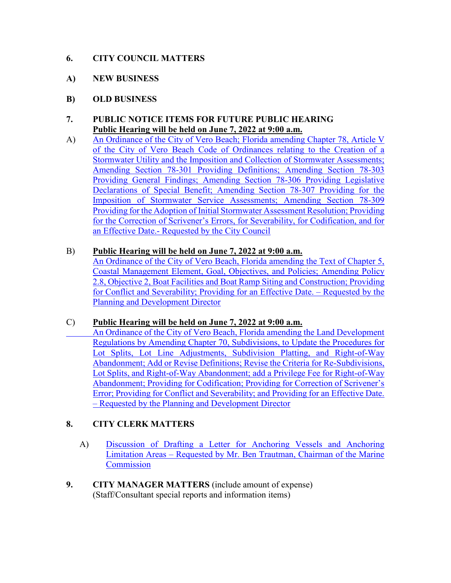## **6. CITY COUNCIL MATTERS**

- **A) NEW BUSINESS**
- **B) OLD BUSINESS**

### PUBLIC NOTICE ITEMS FOR FUTURE PUBLIC HEARING **7. PUBLIC NOTICE ITEMS FOR FUTURE PUBLIC HE.**<br>Public Hearing will be held on June 7, 2022 at 9:00 a.m.

Stormwater Utility and the Imposition and Collection of Stormwater Assessments; A) An Ordinance of the City of Vero Beach; Florida amending Chapter 78, Article V [of the City of Vero Beach Code of Ordinances relating to the Creation of a](https://www.covb.org/DocumentCenter/View/5965/7-A)  [Amending Section 78-301 Providing Definitions; Amending Section 78-303](https://www.covb.org/DocumentCenter/View/5965/7-A)  [Providing General Findings; Amending Section 78-306 Providing Legislative](https://www.covb.org/DocumentCenter/View/5965/7-A)  [Declarations of Special Benefit; Amending Section 78-307 Providing for the](https://www.covb.org/DocumentCenter/View/5965/7-A)  [Imposition of Stormwater Service Assessments; Amending Section 78-309](https://www.covb.org/DocumentCenter/View/5965/7-A)  [Providing for the Adoption of Initial Stormwater Assessment Resolution; Providing](https://www.covb.org/DocumentCenter/View/5965/7-A)  [for the Correction of Scrivener's Errors, for Severability, for Codification, and for](https://www.covb.org/DocumentCenter/View/5965/7-A)  an Effective Date.- [Requested by the City Council](https://www.covb.org/DocumentCenter/View/5965/7-A) 

### B) **Public Hearing will be held on June 7, 2022 at 9:00 a.m.**

[An Ordinance of the City of Vero Beach, Florida amending the Text of Chapter 5,](https://www.covb.org/DocumentCenter/View/5966/7-B)  [Coastal Management Element, Goal, Objectives, and Policies; Amending Policy](https://www.covb.org/DocumentCenter/View/5966/7-B)  [2.8, Objective 2, Boat Facilities and Boat Ramp Siting and Construction; Providing](https://www.covb.org/DocumentCenter/View/5966/7-B)  [for Conflict and Severability; Providing for an Effective Date. – Requested by the](https://www.covb.org/DocumentCenter/View/5966/7-B)  [Planning and Development Director](https://www.covb.org/DocumentCenter/View/5966/7-B) 

### C) **Public Hearing will be held on June 7, 2022 at 9:00 a.m.**

 [Lot Splits, Lot Line Adjustments, Subdivision Platting, and Right-of-Way](https://www.covb.org/DocumentCenter/View/5967/7-C)  [An Ordinance of the City of Vero Beach, Florida amending the Land Development](https://www.covb.org/DocumentCenter/View/5967/7-C)  [Regulations by Amending Chapter 70, Subdivisions, to Update the Procedures for](https://www.covb.org/DocumentCenter/View/5967/7-C)  [Abandonment; Add or Revise Definitions; Revise the Criteria for Re-Subdivisions,](https://www.covb.org/DocumentCenter/View/5967/7-C)  [Lot Splits, and Right-of-Way Abandonment; add a Privilege Fee for Right-of-Way](https://www.covb.org/DocumentCenter/View/5967/7-C)  [Abandonment; Providing for Codification; Providing for Correction of Scrivener's](https://www.covb.org/DocumentCenter/View/5967/7-C)  [Error; Providing for Conflict and Severability; and Providing for an Effective Date.](https://www.covb.org/DocumentCenter/View/5967/7-C)  [– Requested by the Planning and Development Director](https://www.covb.org/DocumentCenter/View/5967/7-C) 

# **8. CITY CLERK MATTERS**

- A) Discussion of Drafting a Letter for Anchoring Vessels and Anchoring [Limitation Areas – Requested by Mr. Ben Trautman, Chairman of the Marine](https://www.covb.org/DocumentCenter/View/5968/8-A)  **Commission**
- (Staff/Consultant special reports and information items) **9. CITY MANAGER MATTERS** (include amount of expense)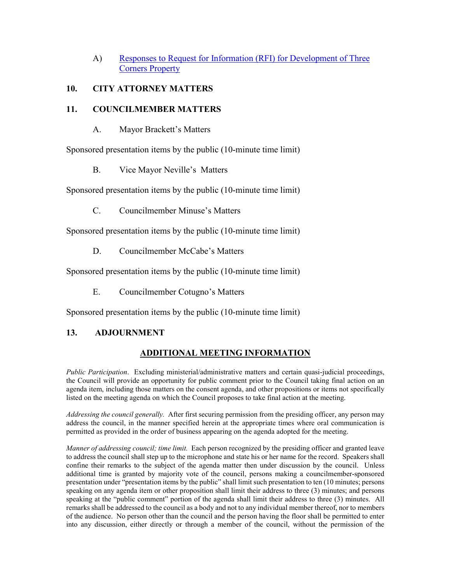[A\) Responses to Request for Information \(RFI\) for Development of Three](https://www.covb.org/DocumentCenter/View/5969/9-A)  [Corners Property](https://www.covb.org/DocumentCenter/View/5969/9-A) 

## **10. CITY ATTORNEY MATTERS**

## **11. COUNCILMEMBER MATTERS**

A. Mayor Brackett's Matters

Sponsored presentation items by the public (10-minute time limit)

B. Vice Mayor Neville's Matters

Sponsored presentation items by the public (10-minute time limit)

C. Councilmember Minuse's Matters

Sponsored presentation items by the public (10-minute time limit)

D. Councilmember McCabe's Matters

Sponsored presentation items by the public (10-minute time limit)

E. Councilmember Cotugno's Matters

Sponsored presentation items by the public (10-minute time limit)

# **13. ADJOURNMENT**

# **ADDITIONAL MEETING INFORMATION**

 agenda item, including those matters on the consent agenda, and other propositions or items not specifically *Public Participation*. Excluding ministerial/administrative matters and certain quasi-judicial proceedings, the Council will provide an opportunity for public comment prior to the Council taking final action on an listed on the meeting agenda on which the Council proposes to take final action at the meeting.

 *Addressing the council generally.* After first securing permission from the presiding officer, any person may address the council, in the manner specified herein at the appropriate times where oral communication is permitted as provided in the order of business appearing on the agenda adopted for the meeting.

 *Manner of addressing council; time limit.* Each person recognized by the presiding officer and granted leave to address the council shall step up to the microphone and state his or her name for the record. Speakers shall confine their remarks to the subject of the agenda matter then under discussion by the council. Unless additional time is granted by majority vote of the council, persons making a councilmember-sponsored speaking at the "public comment" portion of the agenda shall limit their address to three (3) minutes. All presentation under "presentation items by the public" shall limit such presentation to ten (10 minutes; persons speaking on any agenda item or other proposition shall limit their address to three (3) minutes; and persons remarks shall be addressed to the council as a body and not to any individual member thereof, nor to members of the audience. No person other than the council and the person having the floor shall be permitted to enter into any discussion, either directly or through a member of the council, without the permission of the